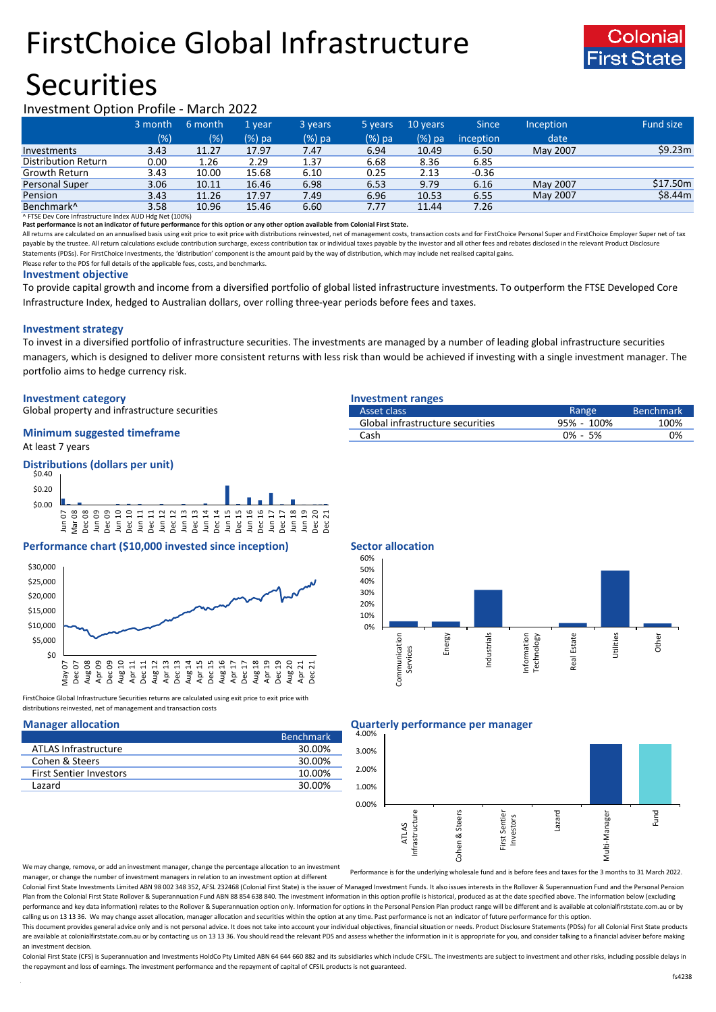# FirstChoice Global Infrastructure





### Investment Option Profile - March 2022

|                        | 3 month | 6 month | 1 year. | 3 years | 5 years | 10 years | Since     | <b>Inception</b> | <b>Fund size</b>     |
|------------------------|---------|---------|---------|---------|---------|----------|-----------|------------------|----------------------|
|                        | (%)     | (% )    | (%) pa  | (%) pa  | (%) pa  | (%) pa   | inception | date             |                      |
| Investments            | 3.43    | 11.27   | 17.97   | 7.47    | 6.94    | 10.49    | 6.50      | May 2007         | \$9.23m              |
| Distribution Return    | 0.00    | 1.26    | 2.29    | 1.37    | 6.68    | 8.36     | 6.85      |                  |                      |
| Growth Return          | 3.43    | 10.00   | 15.68   | 6.10    | 0.25    | 2.13     | $-0.36$   |                  |                      |
| <b>Personal Super</b>  | 3.06    | 10.11   | 16.46   | 6.98    | 6.53    | 9.79     | 6.16      | May 2007         | \$17.50 <sub>m</sub> |
| Pension                | 3.43    | 11.26   | 17.97   | 7.49    | 6.96    | 10.53    | 6.55      | May 2007         | \$8.44m              |
| Benchmark <sup>^</sup> | 3.58    | 10.96   | 15.46   | 6.60    | 7.77    | 11.44    | 7.26      |                  |                      |

^ FTSE Dev Core Infrastructure Index AUD Hdg Net (100%)

**Past performance is not an indicator of future performance for this option or any other option available from Colonial First State.**

All returns are calculated on an annualised basis using exit price to exit price with distributions reinvested, net of management costs, transaction costs and for FirstChoice Personal Super and FirstChoice Employer Super n payable by the trustee. All return calculations exclude contribution surcharge, excess contribution tax or individual taxes payable by the investor and all other fees and rebates disclosed in the relevant Product Disclosur Statements (PDSs). For FirstChoice Investments, the 'distribution' component is the amount paid by the way of distribution, which may include net realised capital gains.

Please refer to the PDS for full details of the applicable fees, costs, and benchmarks.

### **Investment objective**

To provide capital growth and income from a diversified portfolio of global listed infrastructure investments. To outperform the FTSE Developed Core Infrastructure Index, hedged to Australian dollars, over rolling three-year periods before fees and taxes.

### **Investment strategy**

To invest in a diversified portfolio of infrastructure securities. The investments are managed by a number of leading global infrastructure securities managers, which is designed to deliver more consistent returns with less risk than would be achieved if investing with a single investment manager. The portfolio aims to hedge currency risk.

### **Investment category Investment ranges**

Global property and infrastructure securities

### At least 7 years **Minimum suggested timeframe**

**Distributions (dollars per unit)**



### **Performance chart (\$10,000 invested since inception) Sector allocation**



FirstChoice Global Infrastructure Securities returns are calculated using exit price to exit price with distributions reinvested, net of management and transaction costs

|                                | <b>Benchmark</b> |
|--------------------------------|------------------|
| ATLAS Infrastructure           | 30.00%           |
| Cohen & Steers                 | 30.00%           |
| <b>First Sentier Investors</b> | 10.00%           |
| Lazard                         | 30.00%           |

| Asset class                      | Range      | <b>Benchmark</b> |
|----------------------------------|------------|------------------|
| Global infrastructure securities | 95% - 100% | 100%             |
| Cash                             | 0% - 5%    | 0%               |
|                                  |            |                  |



### **Manager allocation Quarterly performance per manager**



We may change, remove, or add an investment manager, change the percentage allocation to an investment manager, or change the number of investment managers in relation to an investment option at different

Performance is for the underlying wholesale fund and is before fees and taxes for the 3 months to 31 March 2022.

Colonial First State Investments Limited ABN 98 002 348 352, AFSL 232468 (Colonial First State) is the issuer of Managed Investment Funds. It also issues interests in the Rollover & Superannuation Fund and the Personal Pen Plan from the Colonial First State Rollover & Superannuation Fund ABN 88 854 638 840. The investment information in this option profile is historical, produced as at the date specified above. The information below (excludi performance and key data information) relates to the Rollover & Superannuation option only. Information for options in the Personal Pension Plan product range will be different and is available at colonialfirststate.com.au calling us on 13 13 36. We may change asset allocation, manager allocation and securities within the option at any time. Past performance is not an indicator of future performance for this option

This document provides general advice only and is not personal advice. It does not take into account your individual objectives, financial situation or needs. Product Disclosure Statements (PDSs) for all Colonial First Sta are available at colonialfirststate.com.au or by contacting us on 13 13 36. You should read the relevant PDS and assess whether the information in it is appropriate for you, and consider talking to a financial adviser befo an investment decision.

Colonial First State (CFS) is Superannuation and Investments HoldCo Ptv Limited ABN 64 644 660 882 and its subsidiaries which include CFSIL. The investments are subject to investment and other risks, including possible del the repayment and loss of earnings. The investment performance and the repayment of capital of CFSIL products is not guaranteed.